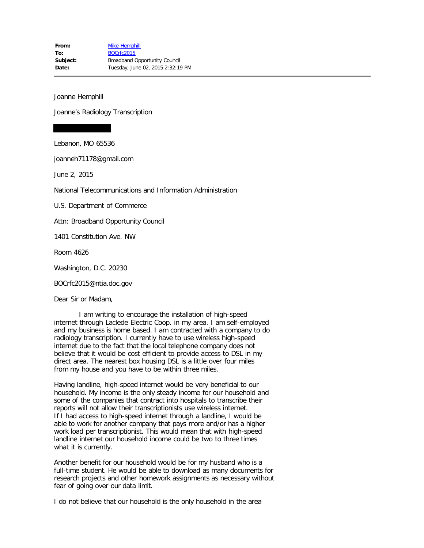Joanne Hemphill

Joanne's Radiology Transcription

Lebanon, MO 65536

joanneh71178@gmail.com

June 2, 2015

National Telecommunications and Information Administration

U.S. Department of Commerce

Attn: Broadband Opportunity Council

1401 Constitution Ave. NW

Room 4626

Washington, D.C. 20230

BOCrfc2015@ntia.doc.gov

Dear Sir or Madam,

 I am writing to encourage the installation of high-speed internet through Laclede Electric Coop. in my area. I am self-employed and my business is home based. I am contracted with a company to do radiology transcription. I currently have to use wireless high-speed internet due to the fact that the local telephone company does not believe that it would be cost efficient to provide access to DSL in my direct area. The nearest box housing DSL is a little over four miles from my house and you have to be within three miles.

Having landline, high-speed internet would be very beneficial to our household. My income is the only steady income for our household and some of the companies that contract into hospitals to transcribe their reports will not allow their transcriptionists use wireless internet. If I had access to high-speed internet through a landline, I would be able to work for another company that pays more and/or has a higher work load per transcriptionist. This would mean that with high-speed landline internet our household income could be two to three times what it is currently.

Another benefit for our household would be for my husband who is a full-time student. He would be able to download as many documents for research projects and other homework assignments as necessary without fear of going over our data limit.

I do not believe that our household is the only household in the area